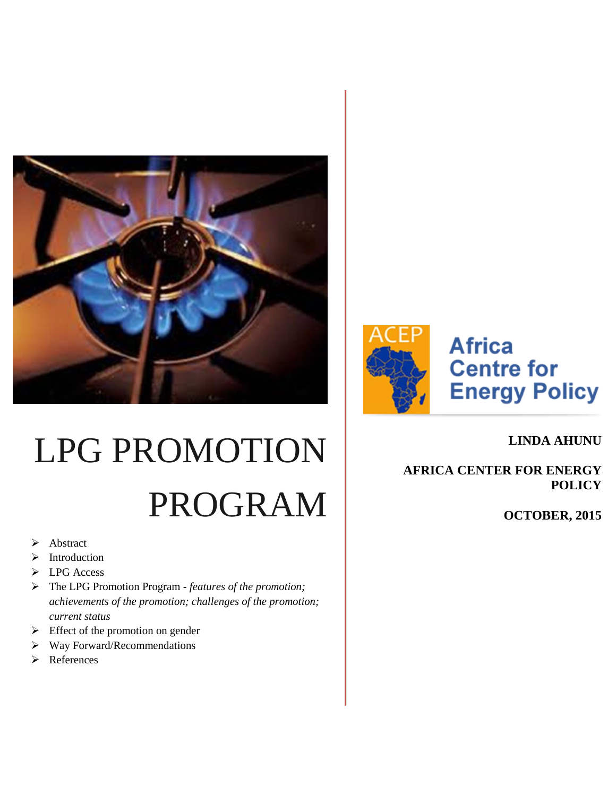



# **Africa Centre for Energy Policy**

# LPG PROMOTION PROGRAM

- > Abstract
- > Introduction
- > LPG Access
- The LPG Promotion Program *features of the promotion; achievements of the promotion; challenges of the promotion; current status*
- $\triangleright$  Effect of the promotion on gender
- $\triangleright$  Way Forward/Recommendations
- References

**LINDA AHUNU** 

**AFRICA CENTER FOR ENERGY POLICY**

**OCTOBER, 2015**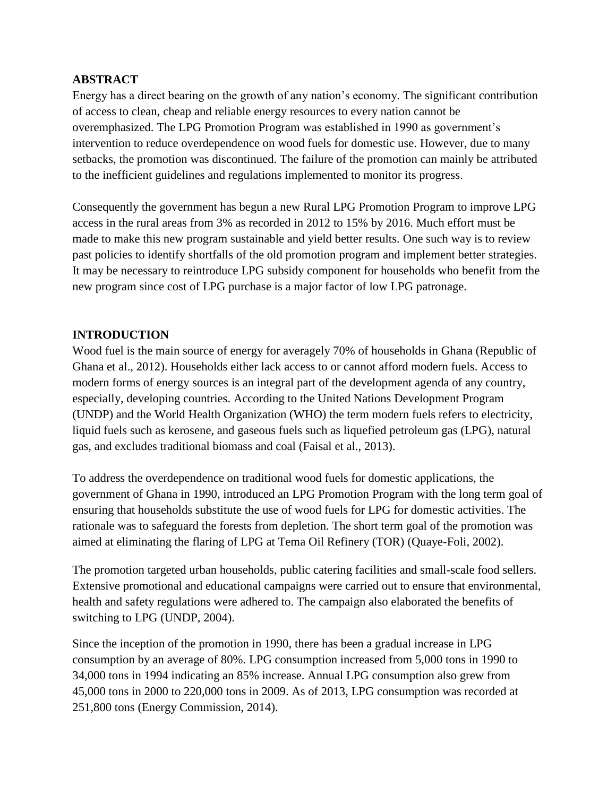#### **ABSTRACT**

Energy has a direct bearing on the growth of any nation's economy. The significant contribution of access to clean, cheap and reliable energy resources to every nation cannot be overemphasized. The LPG Promotion Program was established in 1990 as government's intervention to reduce overdependence on wood fuels for domestic use. However, due to many setbacks, the promotion was discontinued. The failure of the promotion can mainly be attributed to the inefficient guidelines and regulations implemented to monitor its progress.

Consequently the government has begun a new Rural LPG Promotion Program to improve LPG access in the rural areas from 3% as recorded in 2012 to 15% by 2016. Much effort must be made to make this new program sustainable and yield better results. One such way is to review past policies to identify shortfalls of the old promotion program and implement better strategies. It may be necessary to reintroduce LPG subsidy component for households who benefit from the new program since cost of LPG purchase is a major factor of low LPG patronage.

#### **INTRODUCTION**

Wood fuel is the main source of energy for averagely 70% of households in Ghana (Republic of Ghana et al., 2012). Households either lack access to or cannot afford modern fuels. Access to modern forms of energy sources is an integral part of the development agenda of any country, especially, developing countries. According to the United Nations Development Program (UNDP) and the World Health Organization (WHO) the term modern fuels refers to electricity, liquid fuels such as kerosene, and gaseous fuels such as liquefied petroleum gas (LPG), natural gas, and excludes traditional biomass and coal (Faisal et al., 2013).

To address the overdependence on traditional wood fuels for domestic applications, the government of Ghana in 1990, introduced an LPG Promotion Program with the long term goal of ensuring that households substitute the use of wood fuels for LPG for domestic activities. The rationale was to safeguard the forests from depletion. The short term goal of the promotion was aimed at eliminating the flaring of LPG at Tema Oil Refinery (TOR) (Quaye-Foli, 2002).

The promotion targeted urban households, public catering facilities and small-scale food sellers. Extensive promotional and educational campaigns were carried out to ensure that environmental, health and safety regulations were adhered to. The campaign also elaborated the benefits of switching to LPG (UNDP, 2004).

Since the inception of the promotion in 1990, there has been a gradual increase in LPG consumption by an average of 80%. LPG consumption increased from 5,000 tons in 1990 to 34,000 tons in 1994 indicating an 85% increase. Annual LPG consumption also grew from 45,000 tons in 2000 to 220,000 tons in 2009. As of 2013, LPG consumption was recorded at 251,800 tons (Energy Commission, 2014).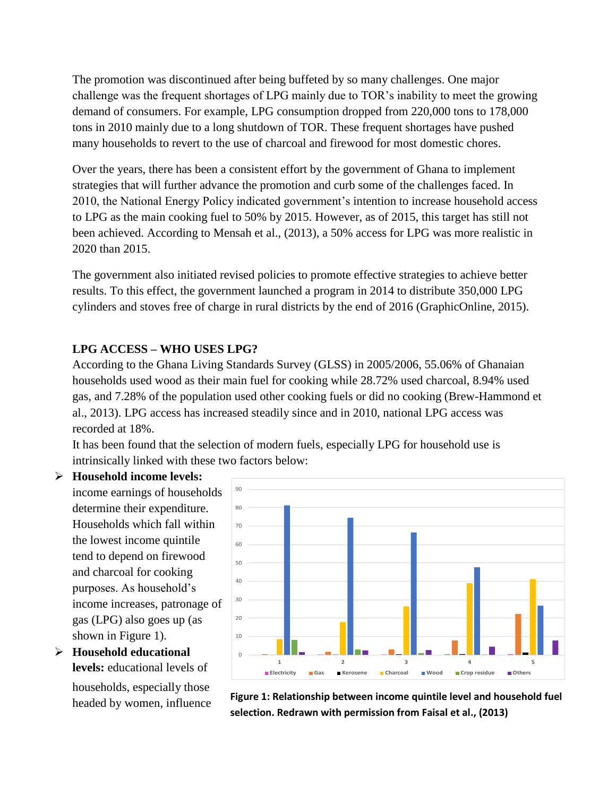The promotion was discontinued after being buffeted by so many challenges. One major challenge was the frequent shortages of LPG mainly due to TOR's inability to meet the growing demand of consumers. For example, LPG consumption dropped from 220,000 tons to 178,000 tons in 2010 mainly due to a long shutdown of TOR. These frequent shortages have pushed many households to revert to the use of charcoal and firewood for most domestic chores.

Over the years, there has been a consistent effort by the government of Ghana to implement strategies that will further advance the promotion and curb some of the challenges faced. In 2010, the National Energy Policy indicated government's intention to increase household access to LPG as the main cooking fuel to 50% by 2015. However, as of 2015, this target has still not been achieved. According to Mensah et al., (2013), a 50% access for LPG was more realistic in 2020 than 2015.

The government also initiated revised policies to promote effective strategies to achieve better results. To this effect, the government launched a program in 2014 to distribute 350,000 LPG cylinders and stoves free of charge in rural districts by the end of 2016 (GraphicOnline, 2015).

# **LPG ACCESS – WHO USES LPG?**

According to the Ghana Living Standards Survey (GLSS) in 2005/2006, 55.06% of Ghanaian households used wood as their main fuel for cooking while 28.72% used charcoal, 8.94% used gas, and 7.28% of the population used other cooking fuels or did no cooking (Brew-Hammond et al., 2013). LPG access has increased steadily since and in 2010, national LPG access was recorded at 18%.

It has been found that the selection of modern fuels, especially LPG for household use is intrinsically linked with these two factors below:

# **Household income levels:**

income earnings of households determine their expenditure. Households which fall within the lowest income quintile tend to depend on firewood and charcoal for cooking purposes. As household's income increases, patronage of gas (LPG) also goes up (as shown in Figure 1).

 **Household educational levels:** educational levels of households, especially those headed by women, influence



**Figure 1: Relationship between income quintile level and household fuel selection. Redrawn with permission from Faisal et al., (2013)**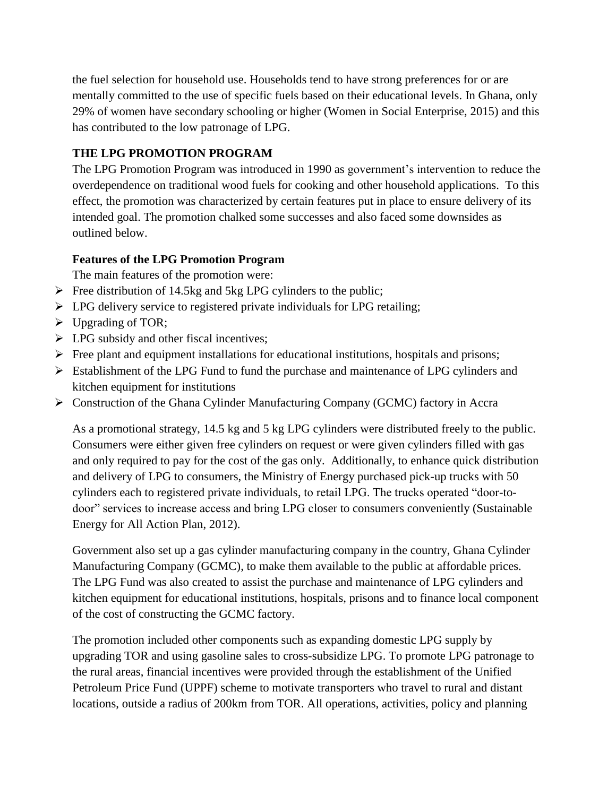the fuel selection for household use. Households tend to have strong preferences for or are mentally committed to the use of specific fuels based on their educational levels. In Ghana, only 29% of women have secondary schooling or higher (Women in Social Enterprise, 2015) and this has contributed to the low patronage of LPG.

# **THE LPG PROMOTION PROGRAM**

The LPG Promotion Program was introduced in 1990 as government's intervention to reduce the overdependence on traditional wood fuels for cooking and other household applications. To this effect, the promotion was characterized by certain features put in place to ensure delivery of its intended goal. The promotion chalked some successes and also faced some downsides as outlined below.

# **Features of the LPG Promotion Program**

The main features of the promotion were:

- $\triangleright$  Free distribution of 14.5kg and 5kg LPG cylinders to the public;
- $\triangleright$  LPG delivery service to registered private individuals for LPG retailing;
- $\triangleright$  Upgrading of TOR;
- $\triangleright$  LPG subsidy and other fiscal incentives;
- $\triangleright$  Free plant and equipment installations for educational institutions, hospitals and prisons;
- Establishment of the LPG Fund to fund the purchase and maintenance of LPG cylinders and kitchen equipment for institutions
- $\triangleright$  Construction of the Ghana Cylinder Manufacturing Company (GCMC) factory in Accra

As a promotional strategy, 14.5 kg and 5 kg LPG cylinders were distributed freely to the public. Consumers were either given free cylinders on request or were given cylinders filled with gas and only required to pay for the cost of the gas only. Additionally, to enhance quick distribution and delivery of LPG to consumers, the Ministry of Energy purchased pick-up trucks with 50 cylinders each to registered private individuals, to retail LPG. The trucks operated "door-todoor" services to increase access and bring LPG closer to consumers conveniently (Sustainable Energy for All Action Plan, 2012).

Government also set up a gas cylinder manufacturing company in the country, Ghana Cylinder Manufacturing Company (GCMC), to make them available to the public at affordable prices. The LPG Fund was also created to assist the purchase and maintenance of LPG cylinders and kitchen equipment for educational institutions, hospitals, prisons and to finance local component of the cost of constructing the GCMC factory.

The promotion included other components such as expanding domestic LPG supply by upgrading TOR and using gasoline sales to cross-subsidize LPG. To promote LPG patronage to the rural areas, financial incentives were provided through the establishment of the Unified Petroleum Price Fund (UPPF) scheme to motivate transporters who travel to rural and distant locations, outside a radius of 200km from TOR. All operations, activities, policy and planning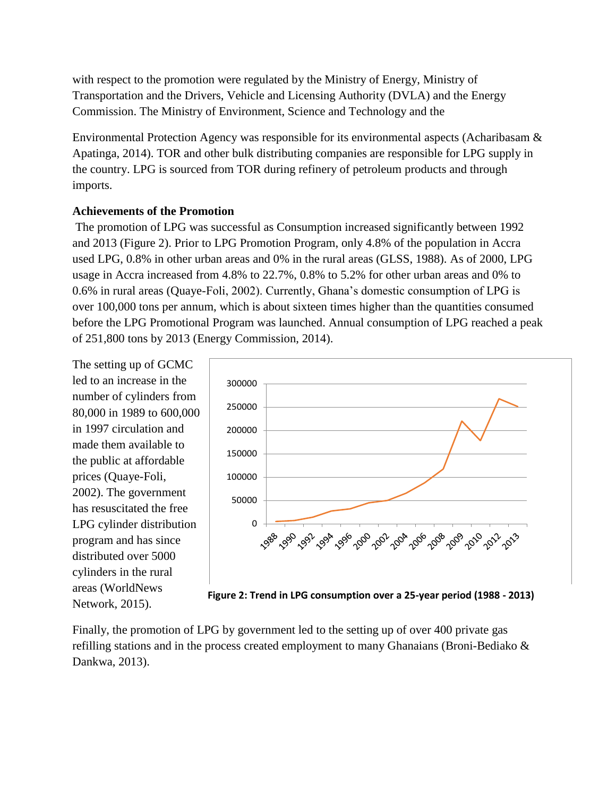with respect to the promotion were regulated by the Ministry of Energy, Ministry of Transportation and the Drivers, Vehicle and Licensing Authority (DVLA) and the Energy Commission. The Ministry of Environment, Science and Technology and the

Environmental Protection Agency was responsible for its environmental aspects (Acharibasam & Apatinga, 2014). TOR and other bulk distributing companies are responsible for LPG supply in the country. LPG is sourced from TOR during refinery of petroleum products and through imports.

#### **Achievements of the Promotion**

The promotion of LPG was successful as Consumption increased significantly between 1992 and 2013 (Figure 2). Prior to LPG Promotion Program, only 4.8% of the population in Accra used LPG, 0.8% in other urban areas and 0% in the rural areas (GLSS, 1988). As of 2000, LPG usage in Accra increased from 4.8% to 22.7%, 0.8% to 5.2% for other urban areas and 0% to 0.6% in rural areas (Quaye-Foli, 2002). Currently, Ghana's domestic consumption of LPG is over 100,000 tons per annum, which is about sixteen times higher than the quantities consumed before the LPG Promotional Program was launched. Annual consumption of LPG reached a peak of 251,800 tons by 2013 (Energy Commission, 2014).

The setting up of GCMC led to an increase in the number of cylinders from 80,000 in 1989 to 600,000 in 1997 circulation and made them available to the public at affordable prices (Quaye-Foli, 2002). The government has resuscitated the free LPG cylinder distribution program and has since distributed over 5000 cylinders in the rural areas (WorldNews Network, 2015).



Finally, the promotion of LPG by government led to the setting up of over 400 private gas refilling stations and in the process created employment to many Ghanaians (Broni-Bediako & Dankwa, 2013).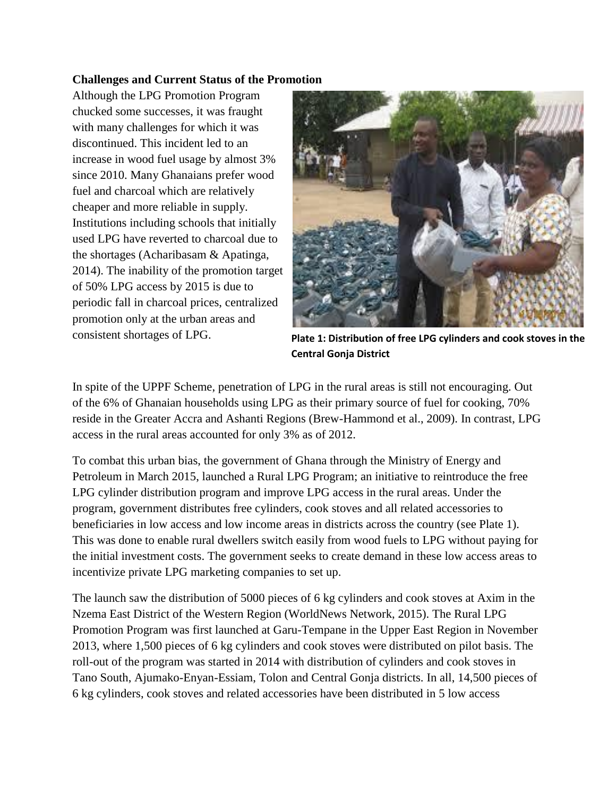#### **Challenges and Current Status of the Promotion**

Although the LPG Promotion Program chucked some successes, it was fraught with many challenges for which it was discontinued. This incident led to an increase in wood fuel usage by almost 3% since 2010. Many Ghanaians prefer wood fuel and charcoal which are relatively cheaper and more reliable in supply. Institutions including schools that initially used LPG have reverted to charcoal due to the shortages (Acharibasam & Apatinga, 2014). The inability of the promotion target of 50% LPG access by 2015 is due to periodic fall in charcoal prices, centralized promotion only at the urban areas and consistent shortages of LPG.



**[Plate 1: Distribution of free LPG cylinders and cook stoves in the](http://www.google.com.gh/imgres?imgurl=http://www.ghananewsagency.org/assets/images/John Jinapor.JPG&imgrefurl=http://www.ghananewsagency.org/science/ministry-distributes-cylinders-to-rural-communities-78405&h=1200&w=1600&tbnid=BOvbG9XPj8yE8M:&zoom=1&docid=bQwZi-Ym0BVDtM&ei=nA0ZVdqPCdLzav-OgRg&tbm=isch&ved=0CB8QMygEMAQ) Central Gonja District**

In spite of the UPPF Scheme, penetration of LPG in the rural areas is still not encouraging. Out of the 6% of Ghanaian households using LPG as their primary source of fuel for cooking, 70% reside in the Greater Accra and Ashanti Regions (Brew-Hammond et al., 2009). In contrast, LPG access in the rural areas accounted for only 3% as of 2012.

To combat this urban bias, the government of Ghana through the Ministry of Energy and Petroleum in March 2015, launched a Rural LPG Program; an initiative to reintroduce the free LPG cylinder distribution program and improve LPG access in the rural areas. Under the program, government distributes free cylinders, cook stoves and all related accessories to beneficiaries in low access and low income areas in districts across the country (see Plate 1). This was done to enable rural dwellers switch easily from wood fuels to LPG without paying for the initial investment costs. The government seeks to create demand in these low access areas to incentivize private LPG marketing companies to set up.

The launch saw the distribution of 5000 pieces of 6 kg cylinders and cook stoves at Axim in the Nzema East District of the Western Region (WorldNews Network, 2015). The Rural LPG Promotion Program was first launched at Garu-Tempane in the Upper East Region in November 2013, where 1,500 pieces of 6 kg cylinders and cook stoves were distributed on pilot basis. The roll-out of the program was started in 2014 with distribution of cylinders and cook stoves in Tano South, Ajumako-Enyan-Essiam, Tolon and Central Gonja districts. In all, 14,500 pieces of 6 kg cylinders, cook stoves and related accessories have been distributed in 5 low access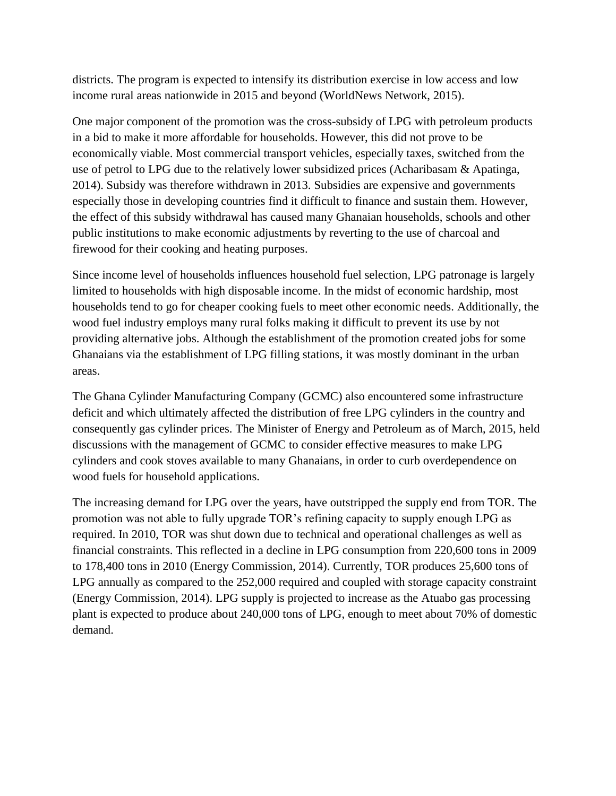districts. The program is expected to intensify its distribution exercise in low access and low income rural areas nationwide in 2015 and beyond (WorldNews Network, 2015).

One major component of the promotion was the cross-subsidy of LPG with petroleum products in a bid to make it more affordable for households. However, this did not prove to be economically viable. Most commercial transport vehicles, especially taxes, switched from the use of petrol to LPG due to the relatively lower subsidized prices (Acharibasam & Apatinga, 2014). Subsidy was therefore withdrawn in 2013. Subsidies are expensive and governments especially those in developing countries find it difficult to finance and sustain them. However, the effect of this subsidy withdrawal has caused many Ghanaian households, schools and other public institutions to make economic adjustments by reverting to the use of charcoal and firewood for their cooking and heating purposes.

Since income level of households influences household fuel selection, LPG patronage is largely limited to households with high disposable income. In the midst of economic hardship, most households tend to go for cheaper cooking fuels to meet other economic needs. Additionally, the wood fuel industry employs many rural folks making it difficult to prevent its use by not providing alternative jobs. Although the establishment of the promotion created jobs for some Ghanaians via the establishment of LPG filling stations, it was mostly dominant in the urban areas.

The Ghana Cylinder Manufacturing Company (GCMC) also encountered some infrastructure deficit and which ultimately affected the distribution of free LPG cylinders in the country and consequently gas cylinder prices. The Minister of Energy and Petroleum as of March, 2015, held discussions with the management of GCMC to consider effective measures to make LPG cylinders and cook stoves available to many Ghanaians, in order to curb overdependence on wood fuels for household applications.

The increasing demand for LPG over the years, have outstripped the supply end from TOR. The promotion was not able to fully upgrade TOR's refining capacity to supply enough LPG as required. In 2010, TOR was shut down due to technical and operational challenges as well as financial constraints. This reflected in a decline in LPG consumption from 220,600 tons in 2009 to 178,400 tons in 2010 (Energy Commission, 2014). Currently, TOR produces 25,600 tons of LPG annually as compared to the 252,000 required and coupled with storage capacity constraint (Energy Commission, 2014). LPG supply is projected to increase as the Atuabo gas processing plant is expected to produce about 240,000 tons of LPG, enough to meet about 70% of domestic demand.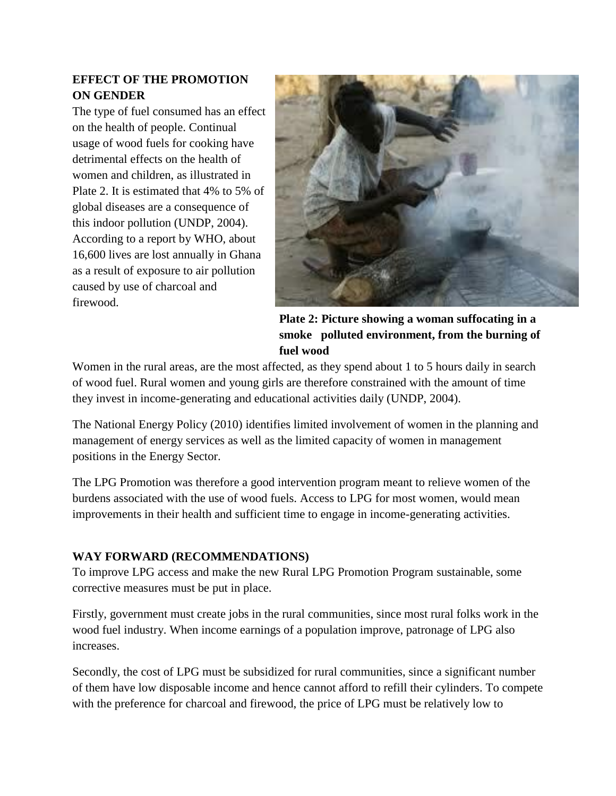# **EFFECT OF THE PROMOTION ON GENDER**

The type of fuel consumed has an effect on the health of people. Continual usage of wood fuels for cooking have detrimental effects on the health of women and children, as illustrated in Plate 2. It is estimated that 4% to 5% of global diseases are a consequence of this indoor pollution (UNDP, 2004). According to a report by WHO, about 16,600 lives are lost annually in Ghana as a result of exposure to air pollution caused by use of charcoal and firewood.



**Plate 2: Picture showing a woman suffocating in a smoke polluted environment, from the burning of fuel wood**

Women in the rural areas, are the most affected, as they spend about 1 to 5 hours daily in search of wood fuel. Rural women and young girls are therefore constrained with the amount of time they invest in income-generating and educational activities daily (UNDP, 2004).

The National Energy Policy (2010) identifies limited involvement of women in the planning and management of energy services as well as the limited capacity of women in management positions in the Energy Sector.

The LPG Promotion was therefore a good intervention program meant to relieve women of the burdens associated with the use of wood fuels. Access to LPG for most women, would mean improvements in their health and sufficient time to engage in income-generating activities.

# **WAY FORWARD (RECOMMENDATIONS)**

To improve LPG access and make the new Rural LPG Promotion Program sustainable, some corrective measures must be put in place.

Firstly, government must create jobs in the rural communities, since most rural folks work in the wood fuel industry. When income earnings of a population improve, patronage of LPG also increases.

Secondly, the cost of LPG must be subsidized for rural communities, since a significant number of them have low disposable income and hence cannot afford to refill their cylinders. To compete with the preference for charcoal and firewood, the price of LPG must be relatively low to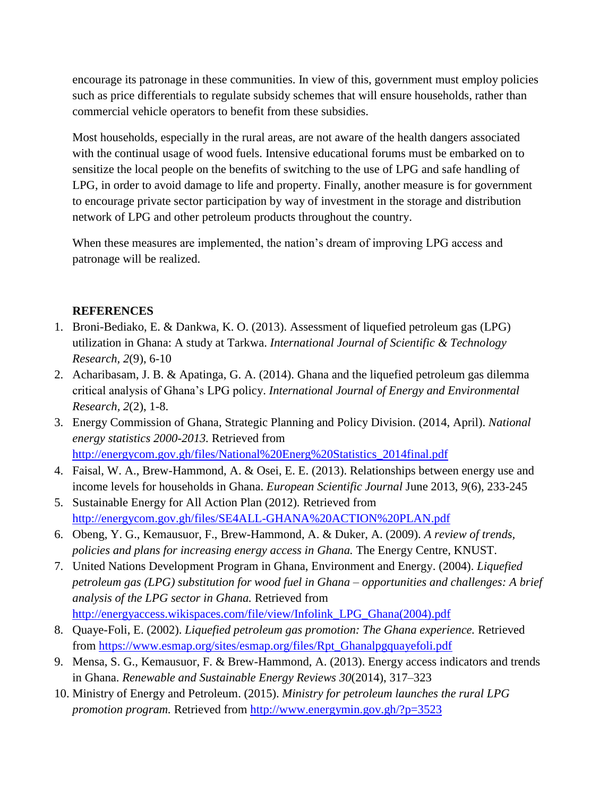encourage its patronage in these communities. In view of this, government must employ policies such as price differentials to regulate subsidy schemes that will ensure households, rather than commercial vehicle operators to benefit from these subsidies.

Most households, especially in the rural areas, are not aware of the health dangers associated with the continual usage of wood fuels. Intensive educational forums must be embarked on to sensitize the local people on the benefits of switching to the use of LPG and safe handling of LPG, in order to avoid damage to life and property. Finally, another measure is for government to encourage private sector participation by way of investment in the storage and distribution network of LPG and other petroleum products throughout the country.

When these measures are implemented, the nation's dream of improving LPG access and patronage will be realized.

#### **REFERENCES**

- 1. Broni-Bediako, E. & Dankwa, K. O. (2013). Assessment of liquefied petroleum gas (LPG) utilization in Ghana: A study at Tarkwa. *International Journal of Scientific & Technology Research, 2*(9), 6-10
- 2. Acharibasam, J. B. & Apatinga, G. A. (2014). Ghana and the liquefied petroleum gas dilemma critical analysis of Ghana's LPG policy. *International Journal of Energy and Environmental Research, 2*(2), 1-8.
- 3. Energy Commission of Ghana, Strategic Planning and Policy Division. (2014, April). *National energy statistics 2000-2013.* Retrieved from [http://energycom.gov.gh/files/National%20Energ%20Statistics\\_2014final.pdf](http://energycom.gov.gh/files/National%20Energ%20Statistics_2014final.pdf)
- 4. Faisal, W. A., Brew-Hammond, A. & Osei, E. E. (2013). Relationships between energy use and income levels for households in Ghana. *European Scientific Journal* June 2013, *9*(6), 233-245
- 5. Sustainable Energy for All Action Plan (2012)*.* Retrieved from <http://energycom.gov.gh/files/SE4ALL-GHANA%20ACTION%20PLAN.pdf>
- 6. Obeng, Y. G., Kemausuor, F., Brew-Hammond, A. & Duker, A. (2009). *A review of trends, policies and plans for increasing energy access in Ghana.* The Energy Centre, KNUST.
- 7. United Nations Development Program in Ghana, Environment and Energy. (2004). *Liquefied petroleum gas (LPG) substitution for wood fuel in Ghana – opportunities and challenges: A brief analysis of the LPG sector in Ghana.* Retrieved from [http://energyaccess.wikispaces.com/file/view/Infolink\\_LPG\\_Ghana\(2004\).pdf](http://energyaccess.wikispaces.com/file/view/Infolink_LPG_Ghana(2004).pdf)
- 8. Quaye-Foli, E. (2002). *Liquefied petroleum gas promotion: The Ghana experience.* Retrieved from [https://www.esmap.org/sites/esmap.org/files/Rpt\\_Ghanalpgquayefoli.pdf](https://www.esmap.org/sites/esmap.org/files/Rpt_Ghanalpgquayefoli.pdf)
- 9. Mensa, S. G., Kemausuor, F. & Brew-Hammond, A. (2013). Energy access indicators and trends in Ghana. *Renewable and Sustainable Energy Reviews 30*(2014), 317–323
- 10. Ministry of Energy and Petroleum. (2015). *Ministry for petroleum launches the rural LPG promotion program.* Retrieved from <http://www.energymin.gov.gh/?p=3523>